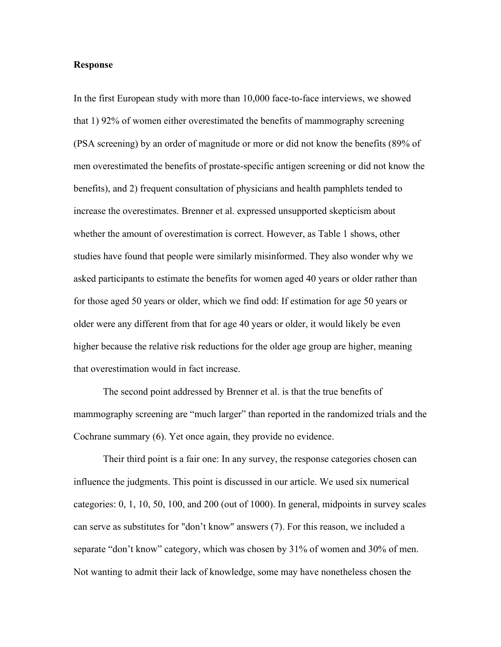## **Response**

In the first European study with more than 10,000 face-to-face interviews, we showed that 1) 92% of women either overestimated the benefits of mammography screening (PSA screening) by an order of magnitude or more or did not know the benefits (89% of men overestimated the benefits of prostate-specific antigen screening or did not know the benefits), and 2) frequent consultation of physicians and health pamphlets tended to increase the overestimates. Brenner et al. expressed unsupported skepticism about whether the amount of overestimation is correct. However, as Table 1 shows, other studies have found that people were similarly misinformed. They also wonder why we asked participants to estimate the benefits for women aged 40 years or older rather than for those aged 50 years or older, which we find odd: If estimation for age 50 years or older were any different from that for age 40 years or older, it would likely be even higher because the relative risk reductions for the older age group are higher, meaning that overestimation would in fact increase.

The second point addressed by Brenner et al. is that the true benefits of mammography screening are "much larger" than reported in the randomized trials and the Cochrane summary (6). Yet once again, they provide no evidence.

Their third point is a fair one: In any survey, the response categories chosen can influence the judgments. This point is discussed in our article. We used six numerical categories: 0, 1, 10, 50, 100, and 200 (out of 1000). In general, midpoints in survey scales can serve as substitutes for "don't know" answers (7). For this reason, we included a separate "don't know" category, which was chosen by 31% of women and 30% of men. Not wanting to admit their lack of knowledge, some may have nonetheless chosen the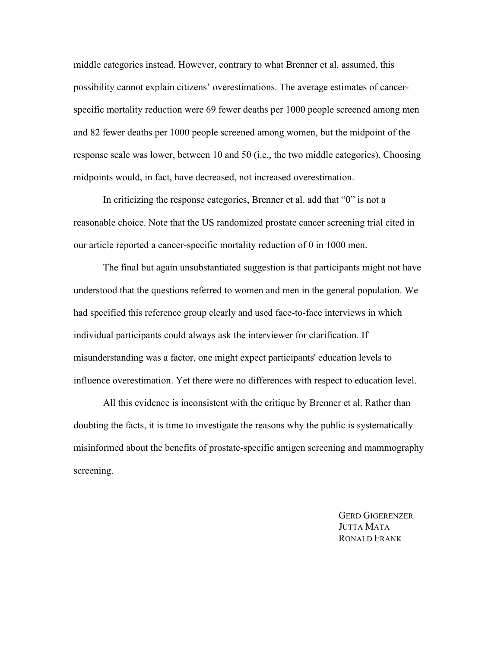middle categories instead. However, contrary to what Brenner et al. assumed, this possibility cannot explain citizens' overestimations. The average estimates of cancerspecific mortality reduction were 69 fewer deaths per 1000 people screened among men and 82 fewer deaths per 1000 people screened among women, but the midpoint of the response scale was lower, between 10 and 50 (i.e., the two middle categories). Choosing midpoints would, in fact, have decreased, not increased overestimation.

In criticizing the response categories, Brenner et al. add that "0" is not a reasonable choice. Note that the US randomized prostate cancer screening trial cited in our article reported a cancer-specific mortality reduction of 0 in 1000 men.

The final but again unsubstantiated suggestion is that participants might not have understood that the questions referred to women and men in the general population. We had specified this reference group clearly and used face-to-face interviews in which individual participants could always ask the interviewer for clarification. If misunderstanding was a factor, one might expect participants' education levels to influence overestimation. Yet there were no differences with respect to education level.

All this evidence is inconsistent with the critique by Brenner et al. Rather than doubting the facts, it is time to investigate the reasons why the public is systematically misinformed about the benefits of prostate-specific antigen screening and mammography screening.

> GERD GIGERENZER JUTTA MATA RONALD FRANK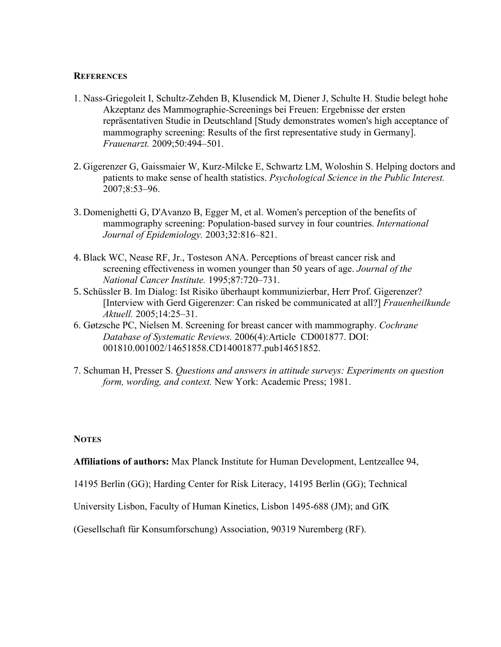## **REFERENCES**

- 1. Nass-Griegoleit I, Schultz-Zehden B, Klusendick M, Diener J, Schulte H. Studie belegt hohe Akzeptanz des Mammographie-Screenings bei Freuen: Ergebnisse der ersten repräsentativen Studie in Deutschland [Study demonstrates women's high acceptance of mammography screening: Results of the first representative study in Germany]. *Frauenarzt.* 2009;50:494–501.
- 2. Gigerenzer G, Gaissmaier W, Kurz-Milcke E, Schwartz LM, Woloshin S. Helping doctors and patients to make sense of health statistics. *Psychological Science in the Public Interest.*  2007;8:53–96.
- 3. Domenighetti G, D'Avanzo B, Egger M, et al. Women's perception of the benefits of mammography screening: Population-based survey in four countries. *International Journal of Epidemiology.* 2003;32:816–821.
- 4. Black WC, Nease RF, Jr., Tosteson ANA. Perceptions of breast cancer risk and screening effectiveness in women younger than 50 years of age. *Journal of the National Cancer Institute.* 1995;87:720–731.
- 5. Schüssler B. Im Dialog: Ist Risiko überhaupt kommunizierbar, Herr Prof. Gigerenzer? [Interview with Gerd Gigerenzer: Can risked be communicated at all?] *Frauenheilkunde Aktuell.* 2005;14:25–31.
- 6. Gøtzsche PC, Nielsen M. Screening for breast cancer with mammography. *Cochrane Database of Systematic Reviews.* 2006(4):Article CD001877. DOI: 001810.001002/14651858.CD14001877.pub14651852.
- 7. Schuman H, Presser S. *Questions and answers in attitude surveys: Experiments on question form, wording, and context.* New York: Academic Press; 1981.

## **NOTES**

**Affiliations of authors:** Max Planck Institute for Human Development, Lentzeallee 94,

14195 Berlin (GG); Harding Center for Risk Literacy, 14195 Berlin (GG); Technical

University Lisbon, Faculty of Human Kinetics, Lisbon 1495-688 (JM); and GfK

(Gesellschaft für Konsumforschung) Association, 90319 Nuremberg (RF).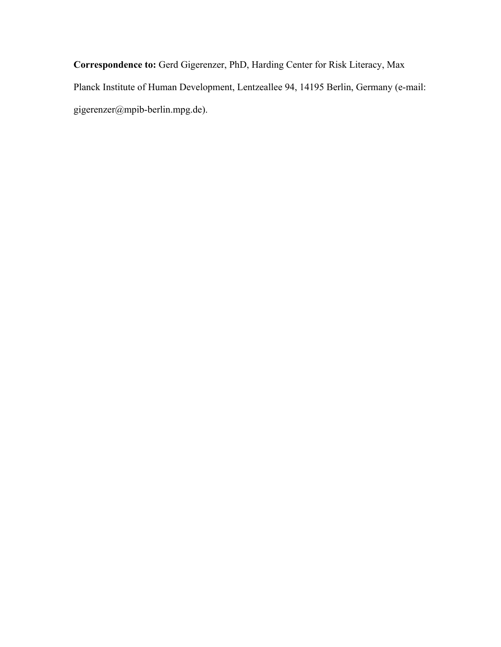**Correspondence to:** Gerd Gigerenzer, PhD, Harding Center for Risk Literacy, Max Planck Institute of Human Development, Lentzeallee 94, 14195 Berlin, Germany (e-mail: gigerenzer@mpib-berlin.mpg.de).